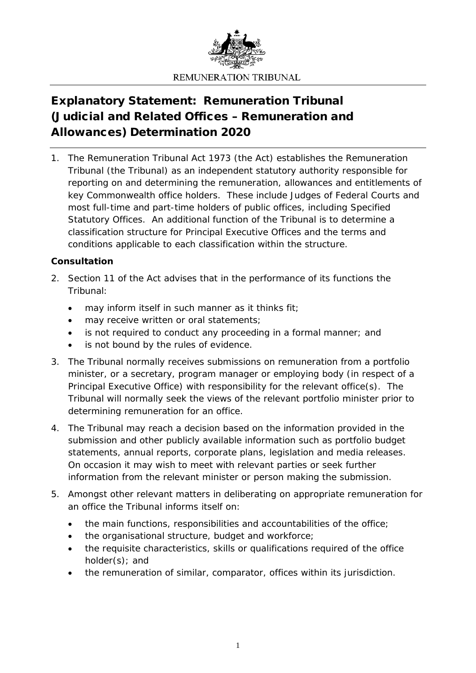

# Explanatory Statement: Remuneration Tribunal (Judicial and Related Offices – Remuneration and Allowances) Determination 2020

1. The *Remuneration Tribunal Act 1973* (the Act) establishes the Remuneration Tribunal (the Tribunal) as an independent statutory authority responsible for reporting on and determining the remuneration, allowances and entitlements of key Commonwealth office holders. These include Judges of Federal Courts and most full-time and part-time holders of public offices, including Specified Statutory Offices. An additional function of the Tribunal is to determine a classification structure for Principal Executive Offices and the terms and conditions applicable to each classification within the structure.

# **Consultation**

- 2. Section 11 of the Act advises that in the performance of its functions the Tribunal:
	- may inform itself in such manner as it thinks fit;
	- may receive written or oral statements;
	- is not required to conduct any proceeding in a formal manner; and
	- is not bound by the rules of evidence.
- 3. The Tribunal normally receives submissions on remuneration from a portfolio minister, or a secretary, program manager or employing body (in respect of a Principal Executive Office) with responsibility for the relevant office(s). The Tribunal will normally seek the views of the relevant portfolio minister prior to determining remuneration for an office.
- 4. The Tribunal may reach a decision based on the information provided in the submission and other publicly available information such as portfolio budget statements, annual reports, corporate plans, legislation and media releases. On occasion it may wish to meet with relevant parties or seek further information from the relevant minister or person making the submission.
- 5. Amongst other relevant matters in deliberating on appropriate remuneration for an office the Tribunal informs itself on:
	- the main functions, responsibilities and accountabilities of the office;
	- the organisational structure, budget and workforce;
	- the requisite characteristics, skills or qualifications required of the office holder(s); and
	- the remuneration of similar, comparator, offices within its jurisdiction.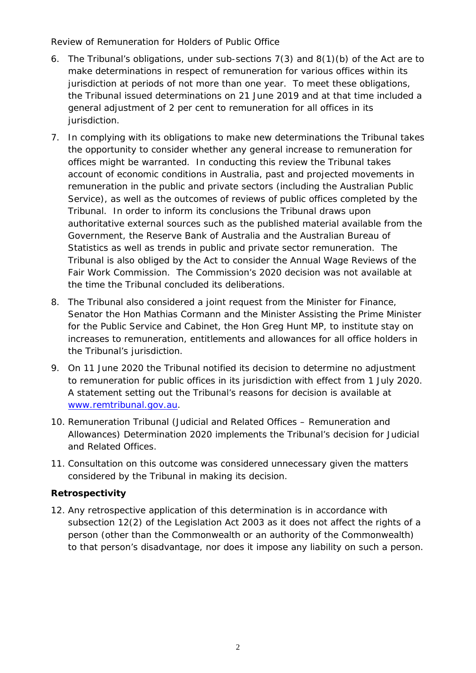## *Review of Remuneration for Holders of Public Office*

- 6. The Tribunal's obligations, under sub-sections 7(3) and 8(1)(b) of the Act are to make determinations in respect of remuneration for various offices within its jurisdiction at periods of not more than one year. To meet these obligations, the Tribunal issued determinations on 21 June 2019 and at that time included a general adjustment of 2 per cent to remuneration for all offices in its jurisdiction.
- 7. In complying with its obligations to make new determinations the Tribunal takes the opportunity to consider whether any general increase to remuneration for offices might be warranted. In conducting this review the Tribunal takes account of economic conditions in Australia, past and projected movements in remuneration in the public and private sectors (including the Australian Public Service), as well as the outcomes of reviews of public offices completed by the Tribunal. In order to inform its conclusions the Tribunal draws upon authoritative external sources such as the published material available from the Government, the Reserve Bank of Australia and the Australian Bureau of Statistics as well as trends in public and private sector remuneration. The Tribunal is also obliged by the Act to consider the Annual Wage Reviews of the Fair Work Commission. The Commission's 2020 decision was not available at the time the Tribunal concluded its deliberations.
- 8. The Tribunal also considered a joint request from the Minister for Finance, Senator the Hon Mathias Cormann and the Minister Assisting the Prime Minister for the Public Service and Cabinet, the Hon Greg Hunt MP, to institute stay on increases to remuneration, entitlements and allowances for all office holders in the Tribunal's jurisdiction.
- 9. On 11 June 2020 the Tribunal notified its decision to determine no adjustment to remuneration for public offices in its jurisdiction with effect from 1 July 2020. A statement setting out the Tribunal's reasons for decision is available at [www.remtribunal.gov.au.](http://www.remtribunal.gov.au/)
- 10. *Remuneration Tribunal (Judicial and Related Offices – Remuneration and Allowances) Determination 2020* implements the Tribunal's decision for Judicial and Related Offices.
- 11. Consultation on this outcome was considered unnecessary given the matters considered by the Tribunal in making its decision.

# **Retrospectivity**

12. Any retrospective application of this determination is in accordance with subsection 12(2) of the *Legislation Act 2003* as it does not affect the rights of a person (other than the Commonwealth or an authority of the Commonwealth) to that person's disadvantage, nor does it impose any liability on such a person.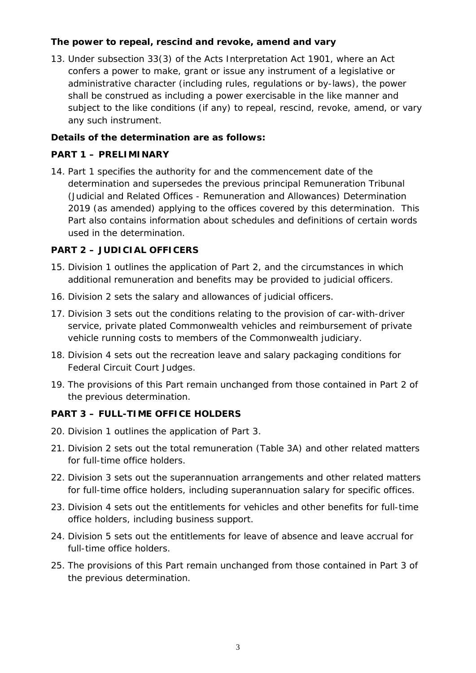## **The power to repeal, rescind and revoke, amend and vary**

13. Under subsection 33(3) of the *Acts Interpretation Act 1901*, where an Act confers a power to make, grant or issue any instrument of a legislative or administrative character (including rules, regulations or by-laws), the power shall be construed as including a power exercisable in the like manner and subject to the like conditions (if any) to repeal, rescind, revoke, amend, or vary any such instrument.

## **Details of the determination are as follows:**

## **PART 1 – PRELIMINARY**

14. Part 1 specifies the authority for and the commencement date of the determination and supersedes the previous principal *Remuneration Tribunal (Judicial and Related Offices - Remuneration and Allowances) Determination 2019* (as amended) applying to the offices covered by this determination. This Part also contains information about schedules and definitions of certain words used in the determination.

## **PART 2 – JUDICIAL OFFICERS**

- 15. Division 1 outlines the application of Part 2, and the circumstances in which additional remuneration and benefits may be provided to judicial officers.
- 16. Division 2 sets the salary and allowances of judicial officers.
- 17. Division 3 sets out the conditions relating to the provision of car-with-driver service, private plated Commonwealth vehicles and reimbursement of private vehicle running costs to members of the Commonwealth judiciary.
- 18. Division 4 sets out the recreation leave and salary packaging conditions for Federal Circuit Court Judges.
- 19. The provisions of this Part remain unchanged from those contained in Part 2 of the previous determination.

## **PART 3 – FULL-TIME OFFICE HOLDERS**

- 20. Division 1 outlines the application of Part 3.
- 21. Division 2 sets out the total remuneration (Table 3A) and other related matters for full-time office holders.
- 22. Division 3 sets out the superannuation arrangements and other related matters for full-time office holders, including superannuation salary for specific offices.
- 23. Division 4 sets out the entitlements for vehicles and other benefits for full-time office holders, including business support.
- 24. Division 5 sets out the entitlements for leave of absence and leave accrual for full-time office holders.
- 25. The provisions of this Part remain unchanged from those contained in Part 3 of the previous determination.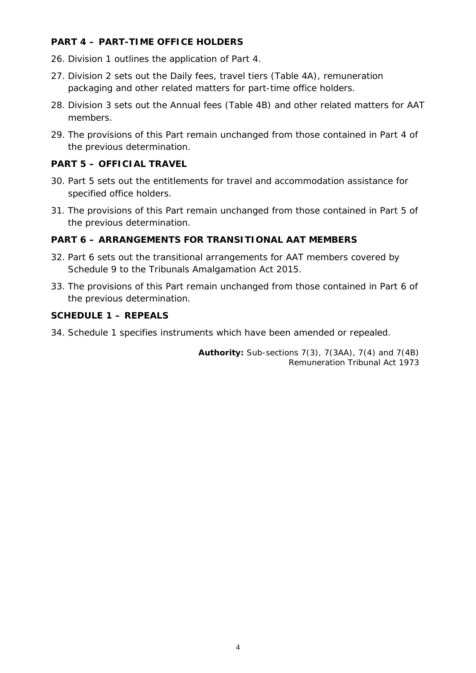#### **PART 4 – PART-TIME OFFICE HOLDERS**

- 26. Division 1 outlines the application of Part 4.
- 27. Division 2 sets out the Daily fees, travel tiers (Table 4A), remuneration packaging and other related matters for part-time office holders.
- 28. Division 3 sets out the Annual fees (Table 4B) and other related matters for AAT members.
- 29. The provisions of this Part remain unchanged from those contained in Part 4 of the previous determination.

## **PART 5 – OFFICIAL TRAVEL**

- 30. Part 5 sets out the entitlements for travel and accommodation assistance for specified office holders.
- 31. The provisions of this Part remain unchanged from those contained in Part 5 of the previous determination.

## **PART 6 – ARRANGEMENTS FOR TRANSITIONAL AAT MEMBERS**

- 32. Part 6 sets out the transitional arrangements for AAT members covered by Schedule 9 to the Tribunals Amalgamation Act 2015.
- 33. The provisions of this Part remain unchanged from those contained in Part 6 of the previous determination.

#### **SCHEDULE 1 – REPEALS**

34. Schedule 1 specifies instruments which have been amended or repealed.

**Authority:** Sub-sections 7(3), 7(3AA), 7(4) and 7(4B) *Remuneration Tribunal Act 1973*